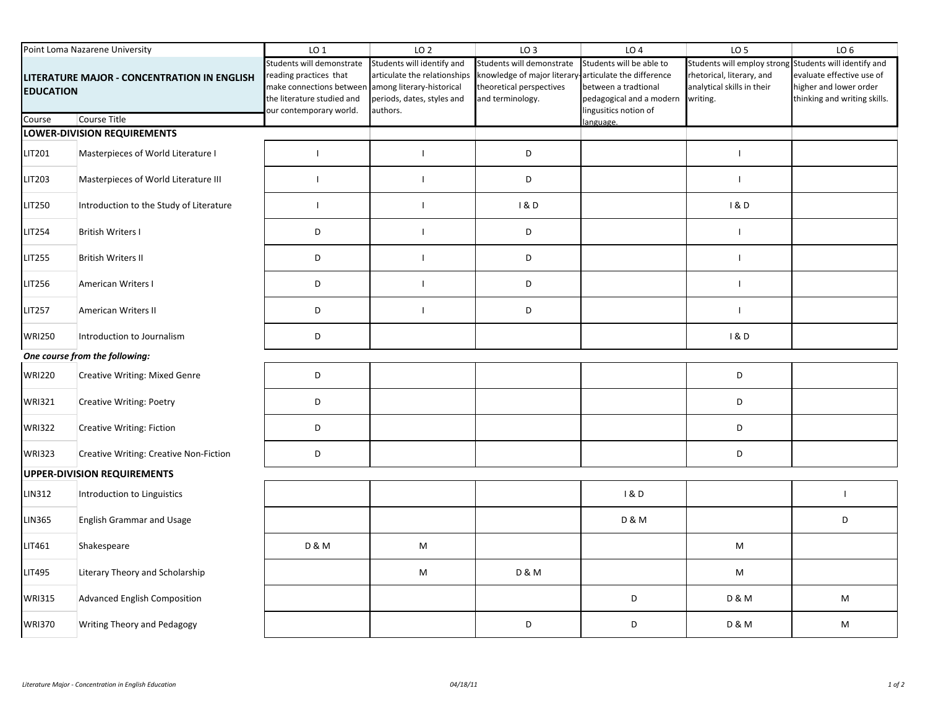| Point Loma Nazarene University                                  |                                         | LO <sub>1</sub>                                                                                                                          | LO <sub>2</sub>                                                                                                                   | LO <sub>3</sub>                                                                                          | LO <sub>4</sub>                                                                                                                    | LO <sub>5</sub>                                                                                    | LO <sub>6</sub>                                                                                                   |
|-----------------------------------------------------------------|-----------------------------------------|------------------------------------------------------------------------------------------------------------------------------------------|-----------------------------------------------------------------------------------------------------------------------------------|----------------------------------------------------------------------------------------------------------|------------------------------------------------------------------------------------------------------------------------------------|----------------------------------------------------------------------------------------------------|-------------------------------------------------------------------------------------------------------------------|
| LITERATURE MAJOR - CONCENTRATION IN ENGLISH<br><b>EDUCATION</b> |                                         | Students will demonstrate<br>reading practices that<br>make connections between<br>the literature studied and<br>our contemporary world. | Students will identify and<br>articulate the relationships<br>among literary-historical<br>periods, dates, styles and<br>authors. | Students will demonstrate<br>knowledge of major literary<br>theoretical perspectives<br>and terminology. | Students will be able to<br>articulate the difference<br>between a tradtional<br>pedagogical and a modern<br>lingusitics notion of | Students will employ strong<br>rhetorical, literary, and<br>analytical skills in their<br>writing. | Students will identify and<br>evaluate effective use of<br>higher and lower order<br>thinking and writing skills. |
| Course                                                          | Course Title                            |                                                                                                                                          |                                                                                                                                   |                                                                                                          | language.                                                                                                                          |                                                                                                    |                                                                                                                   |
|                                                                 | <b>LOWER-DIVISION REQUIREMENTS</b>      |                                                                                                                                          |                                                                                                                                   |                                                                                                          |                                                                                                                                    |                                                                                                    |                                                                                                                   |
| LIT201                                                          | Masterpieces of World Literature I      | $\mathbf{I}$                                                                                                                             | $\mathbf{I}$                                                                                                                      | D                                                                                                        |                                                                                                                                    | $\mathbf{I}$                                                                                       |                                                                                                                   |
| LIT203                                                          | Masterpieces of World Literature III    | I.                                                                                                                                       | $\mathbf{I}$                                                                                                                      | D                                                                                                        |                                                                                                                                    |                                                                                                    |                                                                                                                   |
| <b>LIT250</b>                                                   | Introduction to the Study of Literature | I.                                                                                                                                       | $\mathbf{I}$                                                                                                                      | 1&0                                                                                                      |                                                                                                                                    | 1&0                                                                                                |                                                                                                                   |
| <b>LIT254</b>                                                   | <b>British Writers I</b>                | D                                                                                                                                        | $\mathbf{I}$                                                                                                                      | D                                                                                                        |                                                                                                                                    | $\mathbf{I}$                                                                                       |                                                                                                                   |
| <b>LIT255</b>                                                   | <b>British Writers II</b>               | D                                                                                                                                        | $\mathbf{I}$                                                                                                                      | D                                                                                                        |                                                                                                                                    |                                                                                                    |                                                                                                                   |
| <b>LIT256</b>                                                   | American Writers I                      | D                                                                                                                                        | $\mathbf{I}$                                                                                                                      | D                                                                                                        |                                                                                                                                    |                                                                                                    |                                                                                                                   |
| <b>LIT257</b>                                                   | American Writers II                     | D                                                                                                                                        | $\mathbf{I}$                                                                                                                      | D                                                                                                        |                                                                                                                                    | $\mathbf{I}$                                                                                       |                                                                                                                   |
| <b>WRI250</b>                                                   | Introduction to Journalism              | D                                                                                                                                        |                                                                                                                                   |                                                                                                          |                                                                                                                                    | 180                                                                                                |                                                                                                                   |
|                                                                 | One course from the following:          |                                                                                                                                          |                                                                                                                                   |                                                                                                          |                                                                                                                                    |                                                                                                    |                                                                                                                   |
| <b>WRI220</b>                                                   | <b>Creative Writing: Mixed Genre</b>    | D                                                                                                                                        |                                                                                                                                   |                                                                                                          |                                                                                                                                    | D                                                                                                  |                                                                                                                   |
| <b>WRI321</b>                                                   | <b>Creative Writing: Poetry</b>         | D                                                                                                                                        |                                                                                                                                   |                                                                                                          |                                                                                                                                    | D                                                                                                  |                                                                                                                   |
| <b>WRI322</b>                                                   | <b>Creative Writing: Fiction</b>        | D                                                                                                                                        |                                                                                                                                   |                                                                                                          |                                                                                                                                    | D                                                                                                  |                                                                                                                   |
| <b>WRI323</b>                                                   | Creative Writing: Creative Non-Fiction  | D                                                                                                                                        |                                                                                                                                   |                                                                                                          |                                                                                                                                    | D                                                                                                  |                                                                                                                   |
|                                                                 | <b>UPPER-DIVISION REQUIREMENTS</b>      |                                                                                                                                          |                                                                                                                                   |                                                                                                          |                                                                                                                                    |                                                                                                    |                                                                                                                   |
| <b>LIN312</b>                                                   | Introduction to Linguistics             |                                                                                                                                          |                                                                                                                                   |                                                                                                          | 1&0                                                                                                                                |                                                                                                    | $\mathbf{I}$                                                                                                      |
| <b>LIN365</b>                                                   | <b>English Grammar and Usage</b>        |                                                                                                                                          |                                                                                                                                   |                                                                                                          | <b>D &amp; M</b>                                                                                                                   |                                                                                                    | D                                                                                                                 |
| LIT461                                                          | Shakespeare                             | <b>D &amp; M</b>                                                                                                                         | M                                                                                                                                 |                                                                                                          |                                                                                                                                    | M                                                                                                  |                                                                                                                   |
| <b>LIT495</b>                                                   | Literary Theory and Scholarship         |                                                                                                                                          | M                                                                                                                                 | <b>D &amp; M</b>                                                                                         |                                                                                                                                    | M                                                                                                  |                                                                                                                   |
| <b>WRI315</b>                                                   | Advanced English Composition            |                                                                                                                                          |                                                                                                                                   |                                                                                                          | D                                                                                                                                  | <b>D &amp; M</b>                                                                                   | M                                                                                                                 |
| <b>WRI370</b>                                                   | Writing Theory and Pedagogy             |                                                                                                                                          |                                                                                                                                   | D                                                                                                        | D                                                                                                                                  | <b>D &amp; M</b>                                                                                   | M                                                                                                                 |